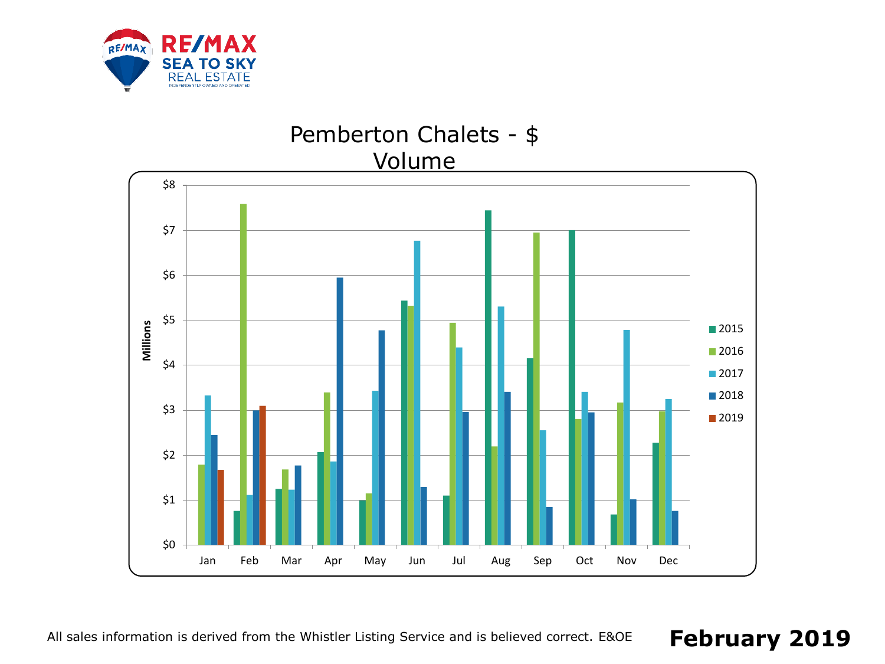



#### All sales information is derived from the Whistler Listing Service and is believed correct. E&OE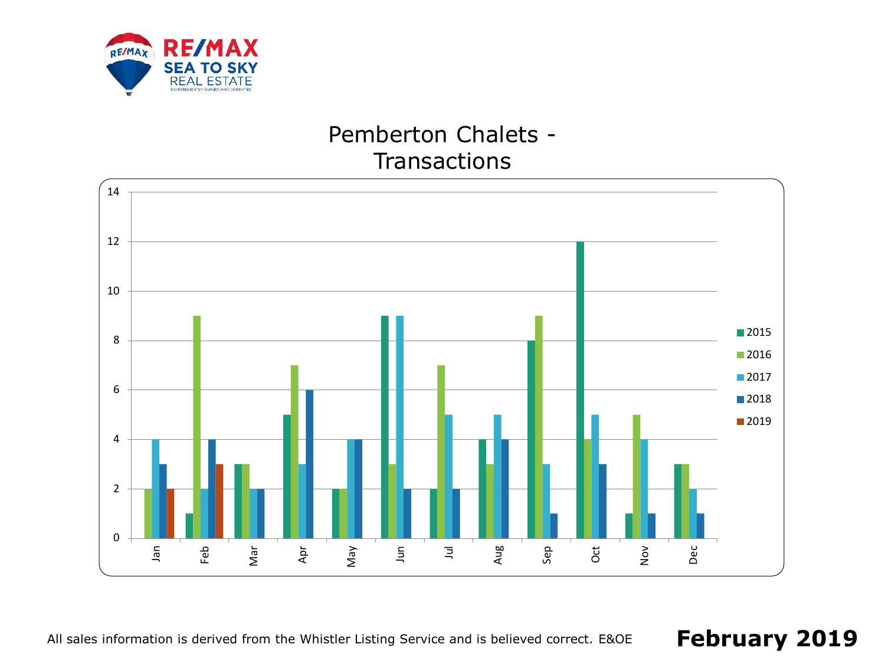

## Pemberton Chalets - **Transactions**



All sales information is derived from the Whistler Listing Service and is believed correct. E&OE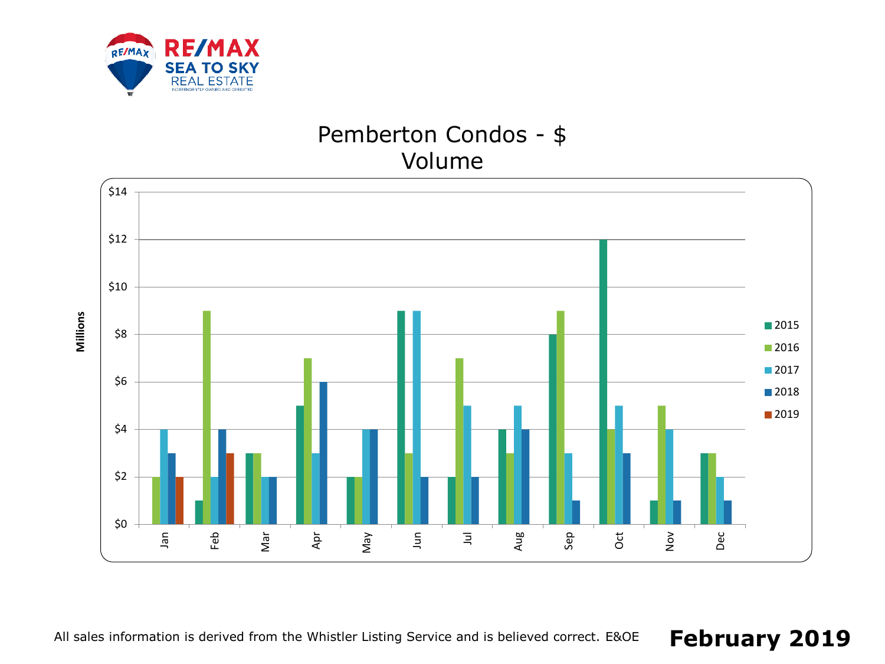

## Pemberton Condos - \$ Volume

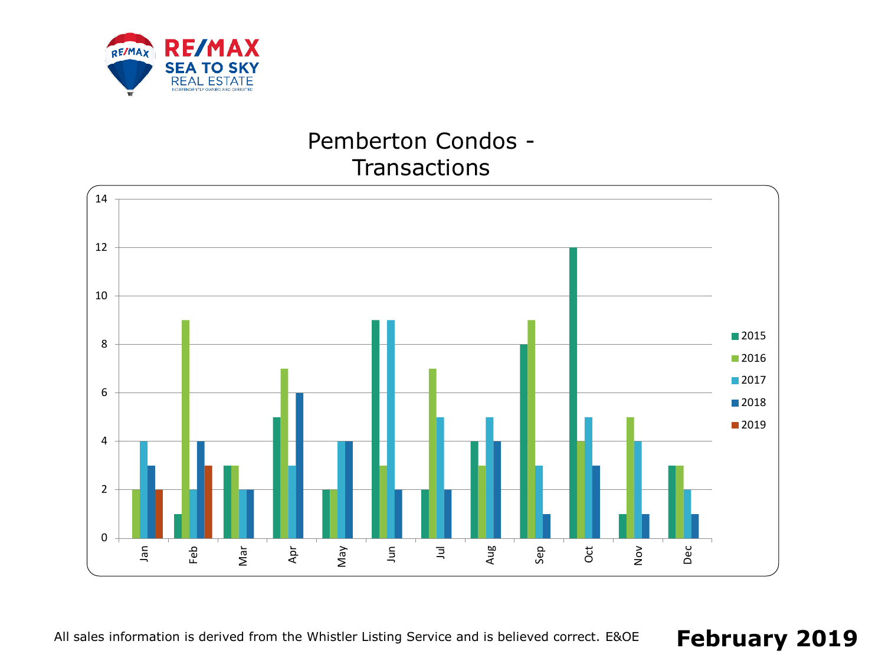

# Pemberton Condos - **Transactions**



All sales information is derived from the Whistler Listing Service and is believed correct. E&OE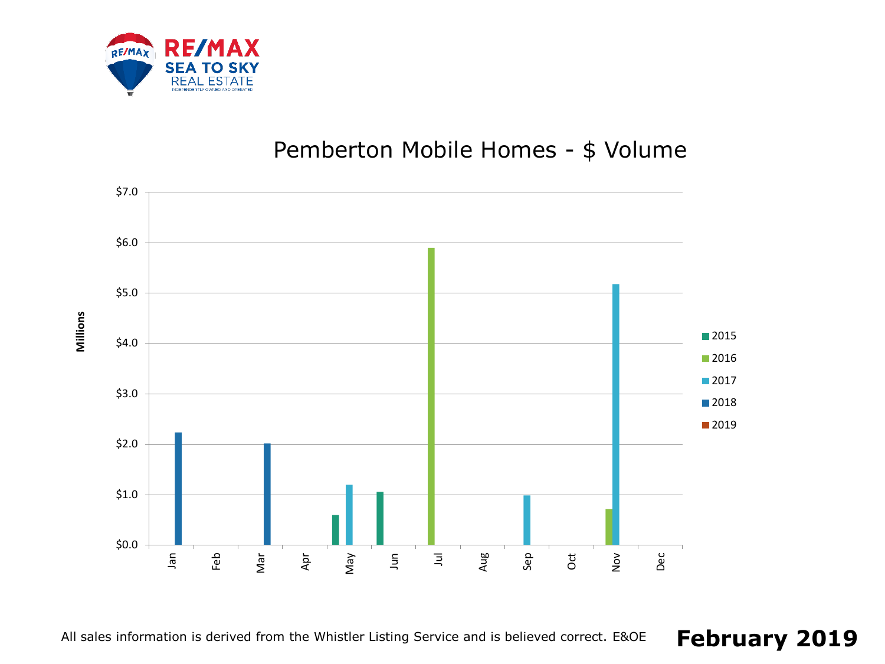

## Pemberton Mobile Homes - \$ Volume



**Millions**

All sales information is derived from the Whistler Listing Service and is believed correct. E&OE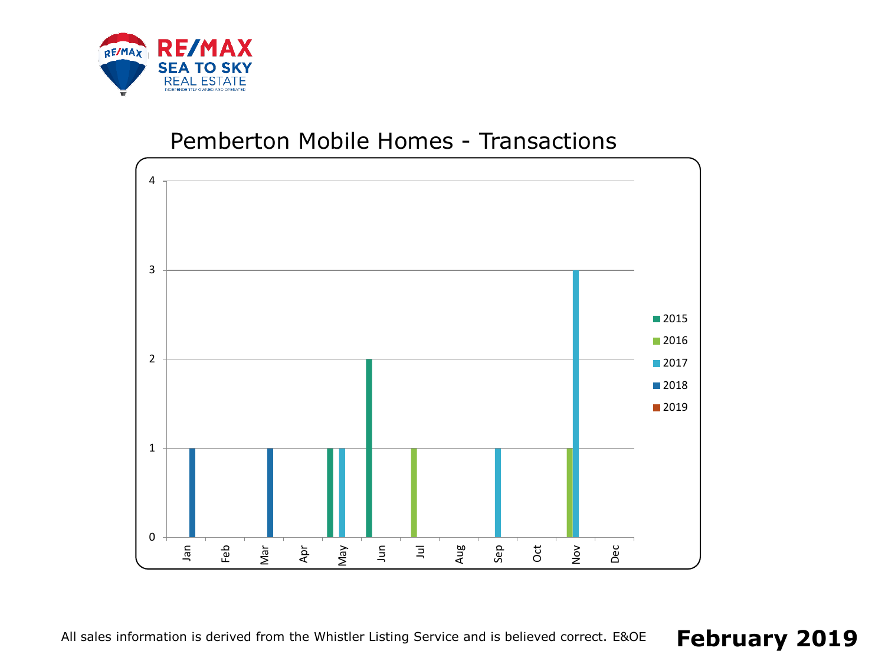

#### Pemberton Mobile Homes - Transactions



All sales information is derived from the Whistler Listing Service and is believed correct. E&OE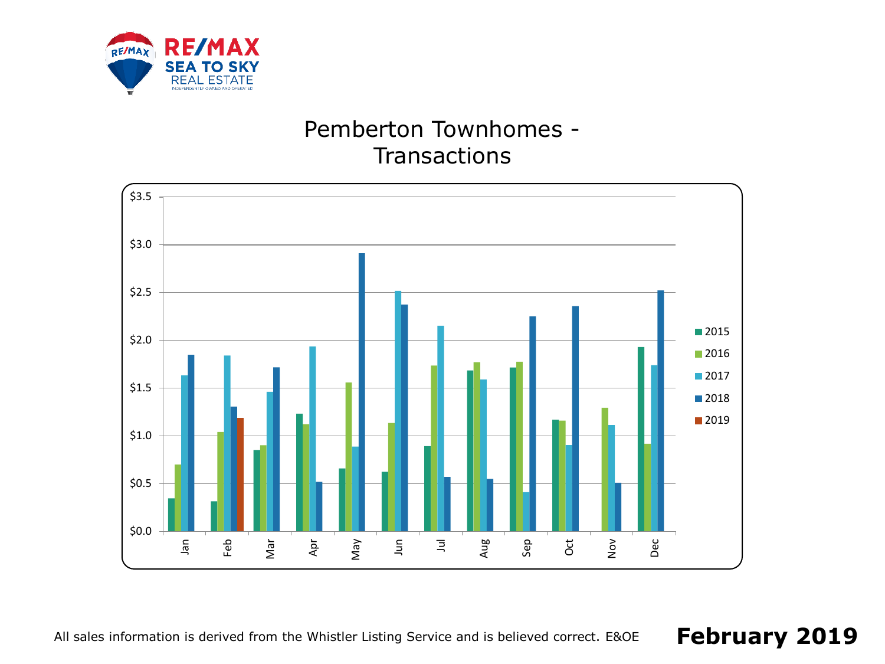

## Pemberton Townhomes - **Transactions**



All sales information is derived from the Whistler Listing Service and is believed correct. E&OE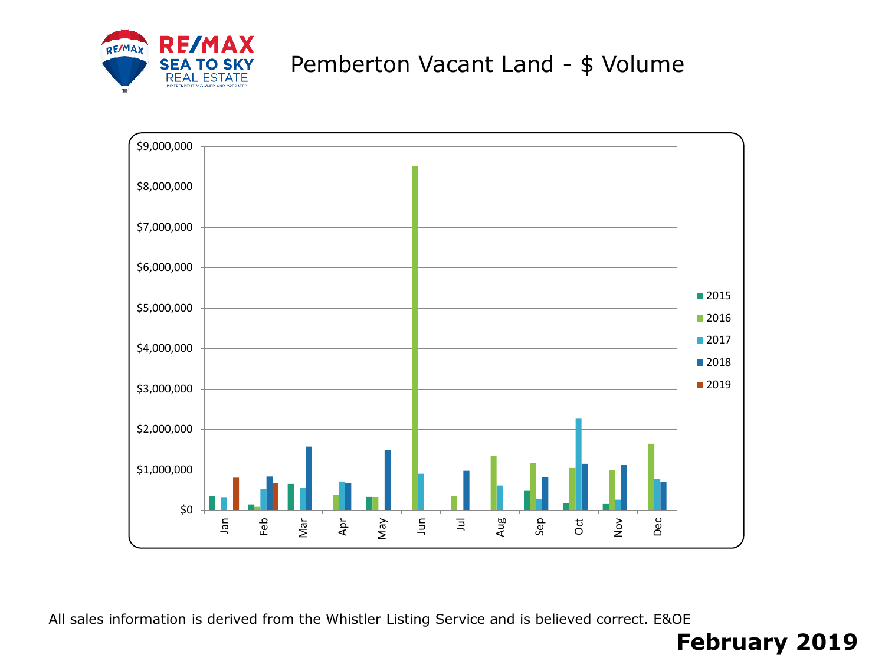

## Pemberton Vacant Land - \$ Volume



All sales information is derived from the Whistler Listing Service and is believed correct. E&OE

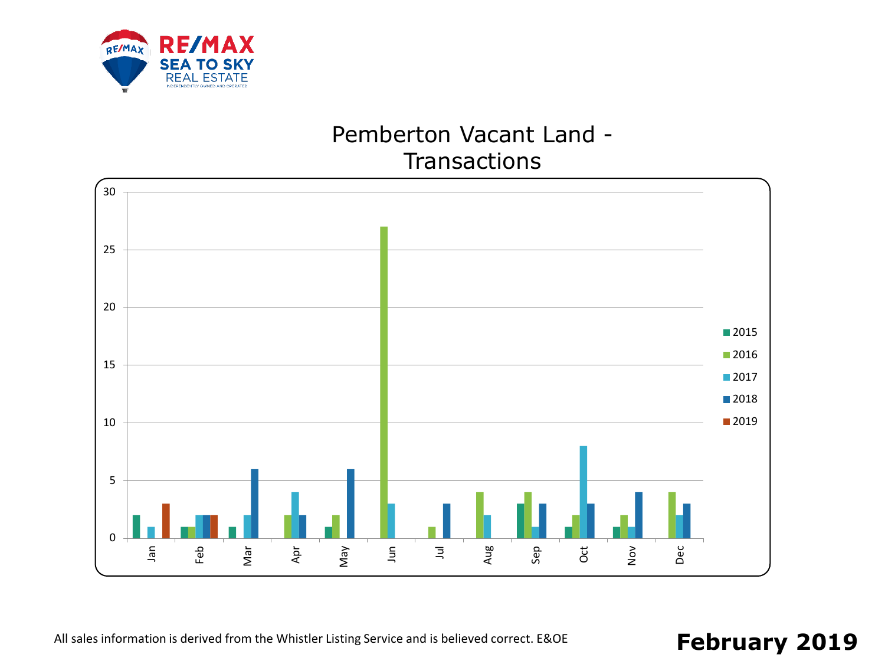

### Pemberton Vacant Land - **Transactions**

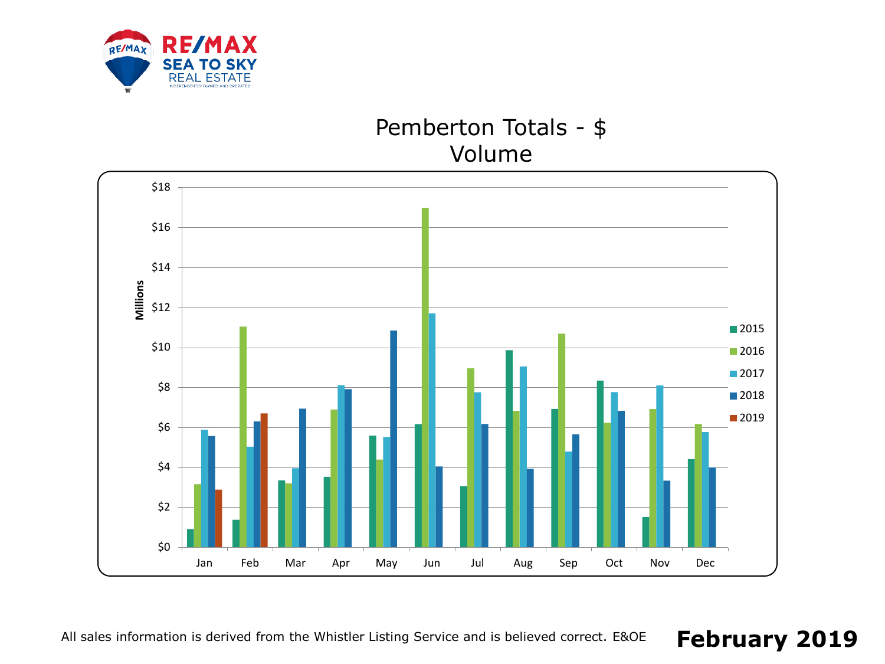

### Pemberton Totals - \$ Volume

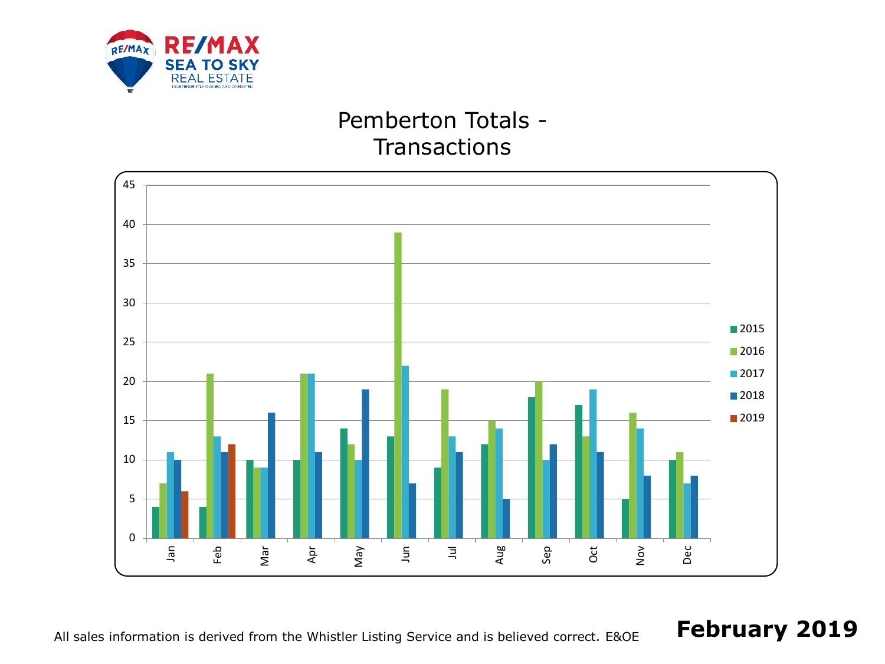

## Pemberton Totals - **Transactions**



All sales information is derived from the Whistler Listing Service and is believed correct. E&OE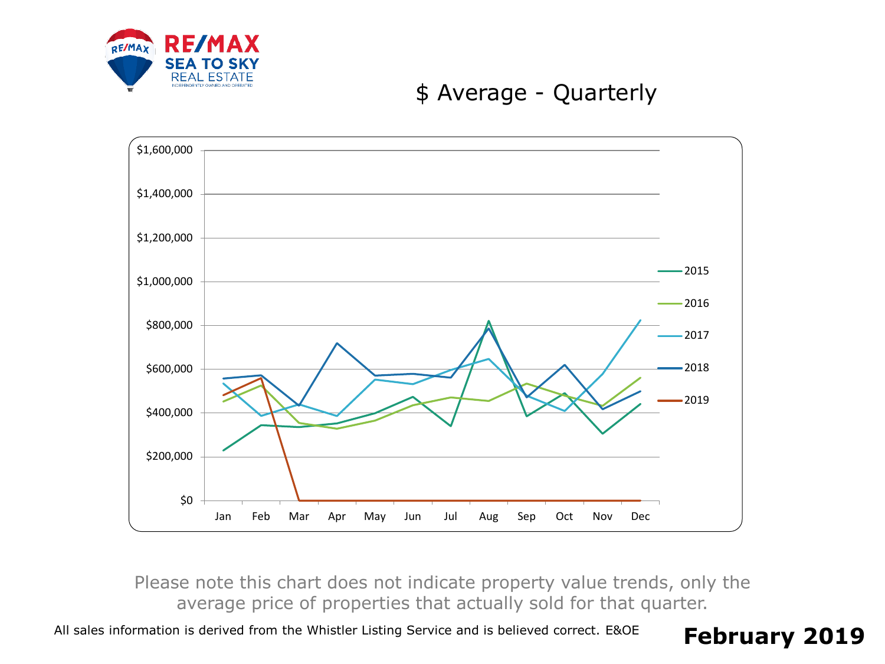

### \$ Average - Quarterly



Please note this chart does not indicate property value trends, only the average price of properties that actually sold for that quarter.

All sales information is derived from the Whistler Listing Service and is believed correct. E&OE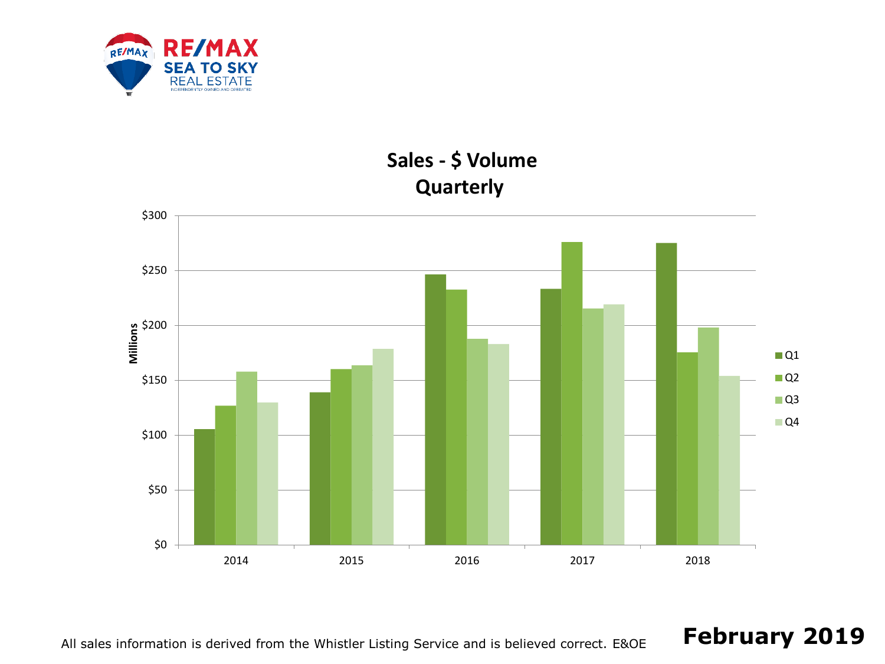

## **Sales - \$ Volume Quarterly**



All sales information is derived from the Whistler Listing Service and is believed correct. E&OE **February 2019**